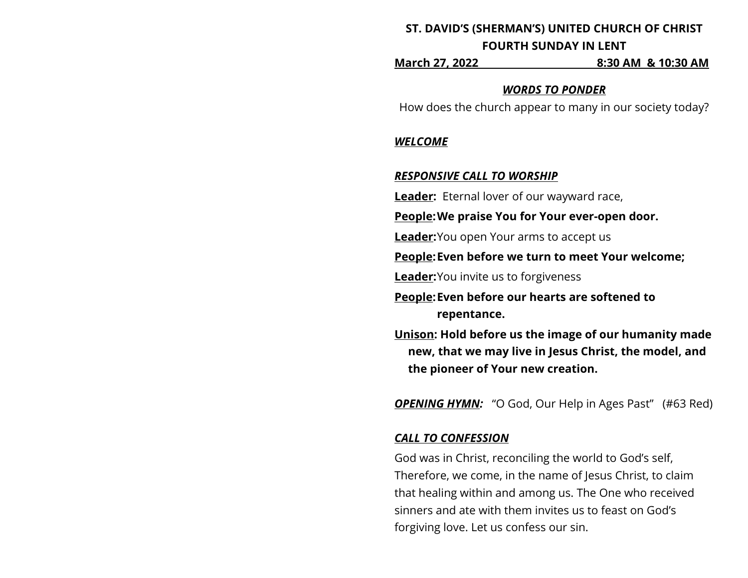# **ST. DAVID'S (SHERMAN'S) UNITED CHURCH OF CHRIST FOURTH SUNDAY IN LENT**

**March 27, 2022 8:30 AM & 10:30 AM**

#### *WORDS TO PONDER*

How does the church appear to many in our society today?

### *WELCOME*

### *RESPONSIVE CALL TO WORSHIP*

**Leader:** Eternal lover of our wayward race,

**People:We praise You for Your ever-open door.**

**Leader:**You open Your arms to accept us

**People:Even before we turn to meet Your welcome;**

**Leader:**You invite us to forgiveness

**People:Even before our hearts are softened to repentance.**

**Unison: Hold before us the image of our humanity made new, that we may live in Jesus Christ, the model, and the pioneer of Your new creation.**

*OPENING HYMN:* "O God, Our Help in Ages Past" (#63 Red)

## *CALL TO CONFESSION*

God was in Christ, reconciling the world to God's self, Therefore, we come, in the name of Jesus Christ, to claim that healing within and among us. The One who received sinners and ate with them invites us to feast on God's forgiving love. Let us confess our sin.